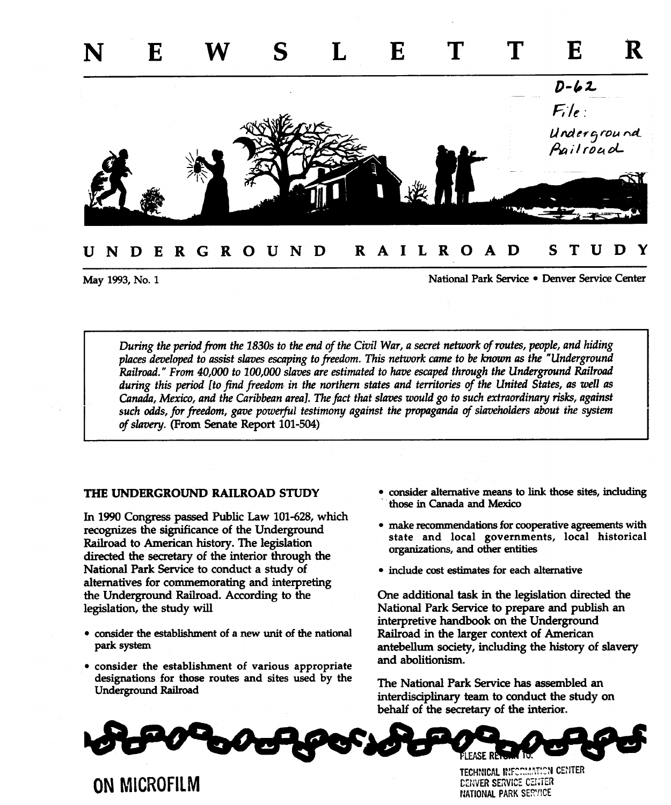

# UNDERGROUND RAILROAD STUDY

May 1993, No. 1 **May 1993**, No. 1

During the period from the 1830s to the end of the Civil War, a secret network of routes, people, and hiding places developed to assist slaves escaping to freedom. This network came to be known as the "Underground Railroad." From 40,000 to 100,000 slaves are estimated to have escaped through the Underground Railroad during this period [to find freedom in the northern states and territories of the United States, as well as Canada, Mexico, and the Caribbean area]. The fact that slaves would go to such extraordinary risks, against such odds, for freedom, gave powerful testimony against the propaganda of slaveholders about the system of slavery. (From Senate Report 101-504)

In 1990 Congress passed Public Law 101-628, which recognizes the significance of the Underground Railroad to American history. The legislation directed the secretary of the interior through the organizations, and other entities National Park Service to conduct a study of  $\bullet$  include cost estimates for each alternative alternatives for commemorating and interpreting the Underground Railroad According to the One additional task in the legislation directed the legislation, the study will **National Park Service to prepare and publish an** 

- consider the establishment of a new unit of the national Railroad in the larger context of American
- consider the establishment of various appropriate designations for those routes and sites used by the The National Park Service has assembled an Underground Railroad
- THE UNDERGROUND RAILROAD STUDY consider alternative means to link those sites, including those in Canada and Mexico
	- make recommendations for cooperative agreements with state and local governments, local historical
	-

interpretive handbook on the Underground park system **antebellum** society, including the history of slavery and abolitionism

> interdisciplinary team to conduct the study on behalf of the secretary of the interior



TECHNICAL INFORMATION CENTE ON MICROFILM CENTER SERVICE CENTER NATIONAL PARK SERVICE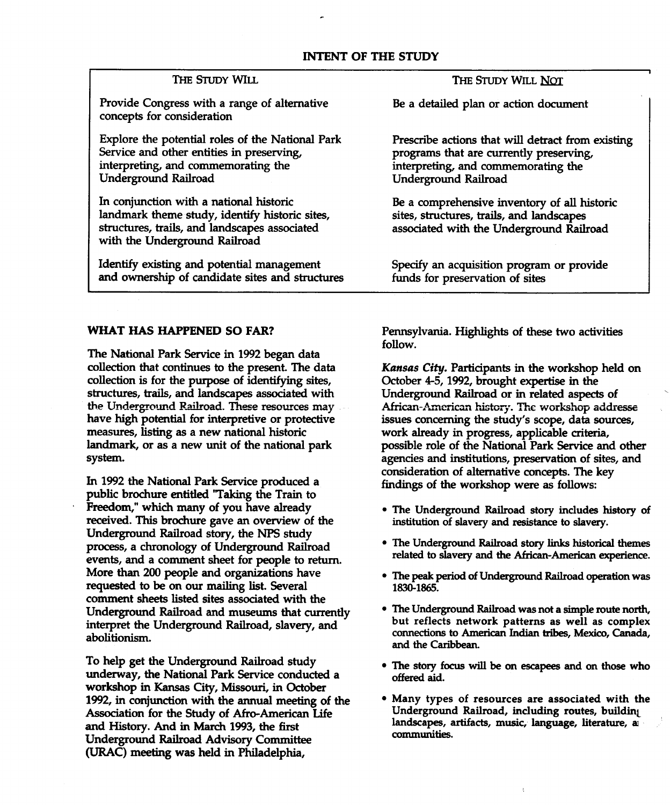# INTENT OF THE STUDY

Provide Congress with a range of alternative Be a detailed plan or action document concepts for consideration

Service and other entities in preserving, programs that are currently preserving, interpreting, and commemorating the interpreting, and commemorating the Underground Railroad Underground Railroad

In conjunction with a national historic Be a comprehensive inventory of all historic landmark theme study, identify historic sites, structures, trails and landscapes structures, trails, and landscapes associated associated with the Underground Railroad with the Underground Railroad

Identify existing and potential management Specify an acquisition program or provide and ownership of candidate sites and structures funds for preservation of sites

### THE STUDY WILL THE STUDY WILL NOT

Explore the potential roles of the National Park Prescribe actions that will detract from existing

The National Park Service in <sup>1992</sup> began data collection is for the purpose of identifying sites, Corober 4-5, 1992, brought expertise in the structures, trails, and landscapes associated with Underground Railroad or in related aspects of have high potential for interpretive or protective issues concerning the study's scope, data sources, measures, listing as a new national historic work already in progress, applicable criteria,

public brochure entitled "Taking the Train to Freedom," which many of you have already **The Underground Railroad story includes history of** received. This brochure gave an overview of the institution of slavery and resistance to slavery. Underground Railroad story, the NPS study events, and a comment sheet for people to return. More than 200 people and organizations have values of the peak period of Underground Railroad operation was requested to be on our mailing list. Several 1830-1865. comment sheets listed sites associated with the Underground Railroad and museums that currently

To help get the Underground Railroad study . The story focus will be on escapees and on those who underway, the National Park Service conducted a offered aid. workshop in Kansas City, Missouri, in October 1992, in conjunction with the annual meeting of the  $\bullet$  Many types of resources are associated with the Association for the Study of Afro-American Life Underground Railroad, including routes, building Association for the Study of Afro-American Life and History. And in March 1993, the first landscapes, artifacts, music, language, literature, as<br>Independent Deilned Advisory Committee. Underground Railroad Advisory Committee (URAC) meeting was held in Philadelphia,

WHAT HAS HAPPENED SO FAR? Pennsylvania. Highlights of these two activities follow

collection that continues to the present. The data Kansas City. Participants in the workshop held on the Underground Railroad. These resources may **African-American history**. The workshop addresse landmark, or as a new unit of the national park possible role of the National Park Service and other system. The system agencies and institutions, preservation of sites, and In 1992 the National Park Service produced a **Interversion of alternative concepts**. The key findings of the workshop were as follows:

- 
- process, a chronology of Underground Railroad <br>events and a comment shoot for poople to return related to slavery and the African-American experience.
	-
- The Underground Railroad was not a simple route north, interpret the Underground Railroad, slavery, and but reflects network patterns as well as complex abolitionism. connections to American Indian tribes, Mexico, Canada, and the Caribbean
	-
	-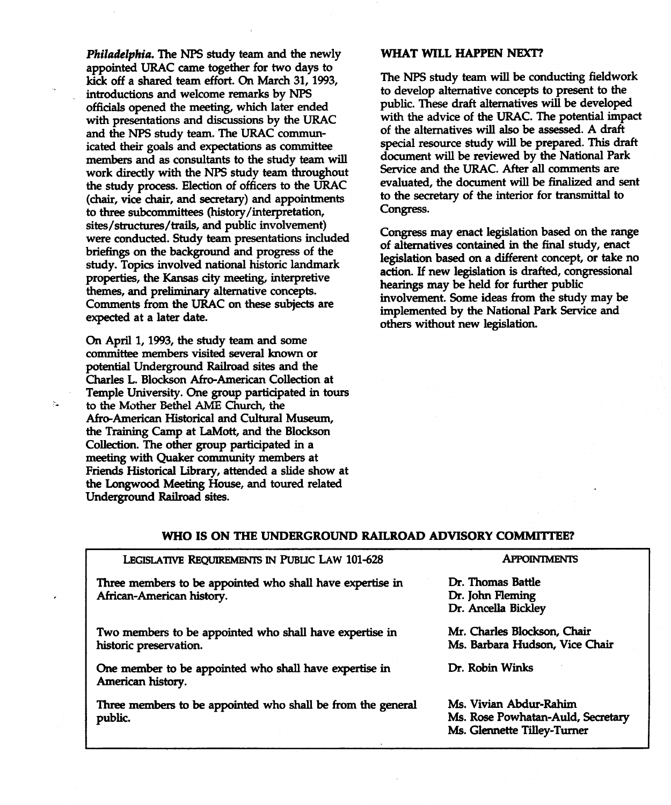Philadelphia. The NPS study team and the newly WHAT WILL HAPPEN NEXT? appointed URAC came together for two days to kick off a shared team effort. On March 31, 1993, The NPS study team will be conducting fieldwork introductions and welcome remarks by NPS to develop alternative concepts to present to the officials opened the meeting, which later ended public. These draft alternatives will be developed with presentations and discussions by the URAC with the advice of the URAC. The potential impact<br>and the NPS study team. The URAC commun-<br>of the alternatives will also be assessed. A draft and the NPS study team. The URAC commun-<br>icated their goals and expectations as committee special resource study will be prepared. This draft icated their goals and expectations as committee members and as consultants to the study team will<br>work directly with the NPS study team throughout Service and the URAC. After all comments are members and as consumants to the study team will<br>work directly with the NPS study team throughout<br>the study process. Election of officers to the URAC evaluated, the document will be finalized and sent the study process. Election of officers to the URAC evaluated, the document will be finalized and secretary (chair, vice chair, and secretary) and appointments to the secretary of the interior for transmittal to to three s to three subcommittees (history/interpretation, sites/structures/trails, and public involvement) sites, structures, transition and public involvement,<br>were conducted. Study team presentations included<br>of alternatives contained in the final study meet briefings on the background and progress of the briefligs on the background and progress of the legislation based on a different concept, or take no<br>study. Topics involved national historic landmark properties, the Kansas city meeting, interpretive themes, and preliminary alternative concepts. Comments from the URAC on these subjects are

On April 1, 1993, the study team and some committee members visited several known or potential Underground Railroad sites and the Charles L. Blockson Afro-American Collection at Temple University. One group participated in tours to the Mother Bethel AME Church, the Afro-American Historical and Cultural Museum the Training Camp at LaMott, and the Blockson Collection. The other group participated in a meeting with Quaker community members at Friends Historical Library, attended a slide show at the Longwood Meeting House, and toured related Underground Railroad sites

÷.

of alternatives contained in the final study, enact action. If new legislation is drafted, congressional hearings may be held for further public involvement. Some ideas from the study may be expected at a later date.<br>
expected at a later date. others without new legislation

## WHO IS ON THE UNDERGROUND RAILROAD ADVISORY COMMITTEE

### LEGISLATIVE REQUIREMENTS IN PUBLIC LAW 101-628 APPOINTMENTS

Three members to be appointed who shall have expertise in Fr. Thomas Battle African-American history. The control of the control of the Dr. John Fleming

Two members to be appointed who shall have expertise in Mr. Charles Blockson, Chair historic preservation. The contraction of the Ms. Barbara Hudson, Vice Chair

One member to be appointed who shall have expertise in Dr. Robin Winks American history

Three members to be appointed who shall be from the general Ms. Vivian Abdur-Rahim public. The contract of the matrix of the matrix  $\mathbf{M}$ s. Rose Powhatan-Auld, Secretary

Dr. Ancella Bickley

Ms Glennette Tilley-Tumer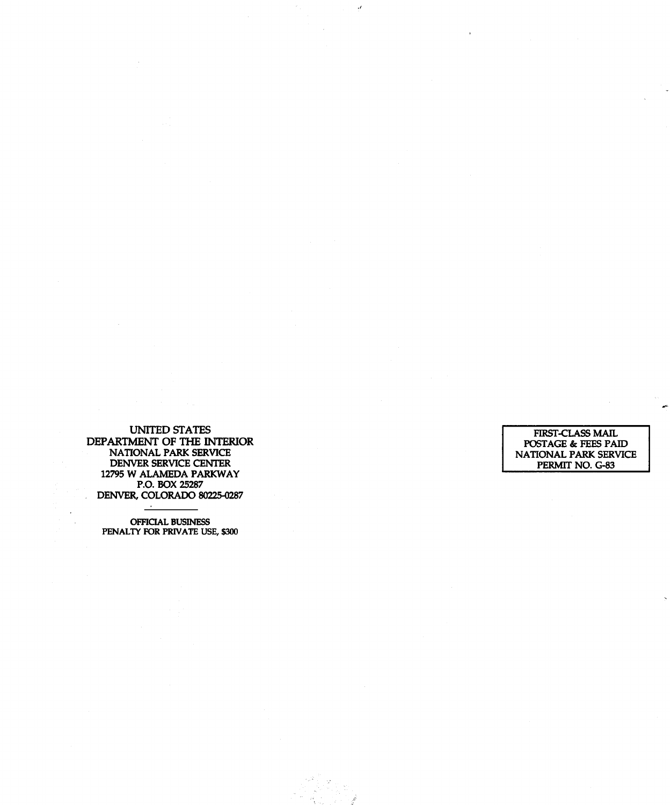UNITED STATES UNITED STATES<br>DEPARTMENT OF THE INTERIOR POSTAGE & FEES PAID NATIONAL PARK SERVICE NATIONAL PARK SERVICE DENVER SERVICE CENTER PERMIT NO. G-83 12795 W ALAMEDA PARKWAY P.O. BOX 25287 DENVER, COLORADO 80225-0287

 $\boldsymbol{\mathcal{A}}$ 

OFFIQAL BUSINESS PENALTY FOR PRIVATE USE, \$300

 $\sim$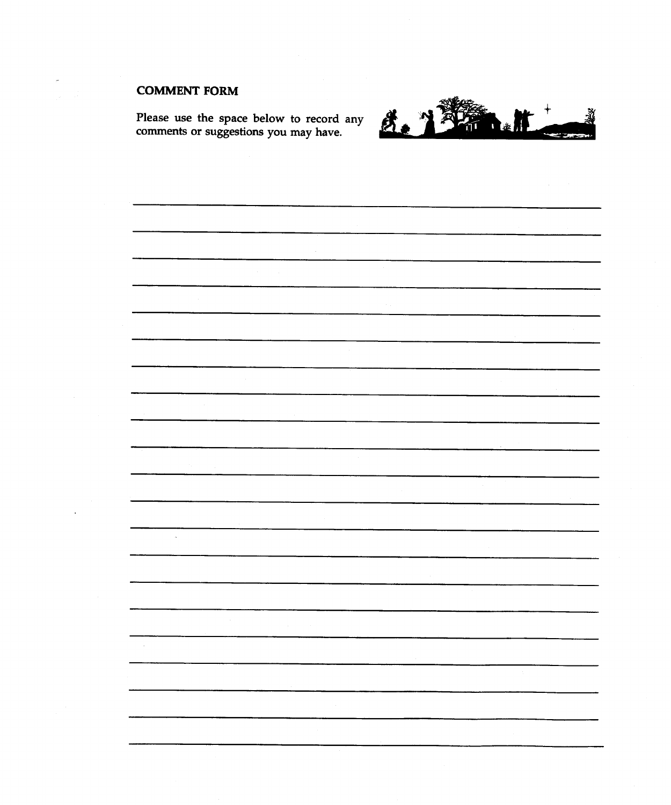# COMMENT FORM

Please use the space below to record any comments or suggestions you may have